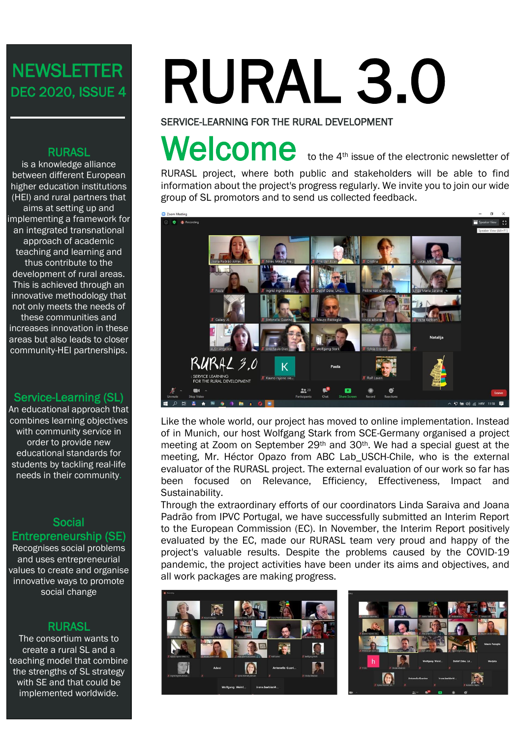# **NEWSLETTER** DEC 2020, ISSUE 4

# RURASL

is a knowledge alliance between different European higher education institutions (HEI) and rural partners that aims at setting up and implementing a framework for an integrated transnational approach of academic teaching and learning and thus contribute to the development of rural areas. This is achieved through an innovative methodology that not only meets the needs of these communities and increases innovation in these areas but also leads to closer community-HEI partnerships.

### Service-Learning (SL)

An educational approach that combines learning objectives with community service in order to provide new educational standards for students by tackling real-life needs in their community.

### Social Entrepreneurship (SE)

Recognises social problems and uses entrepreneurial values to create and organise innovative ways to promote social change

# **RURASL**

The consortium wants to create a rural SL and a teaching model that combine the strengths of SL strategy with SE and that could be implemented worldwide.

# RURAL 3.0

SERVICE-LEARNING FOR THE RURAL DEVELOPMENT

# Welcome to the 4<sup>th</sup> issue of the electronic newsletter of

RURASL project, where both public and stakeholders will be able to find information about the project's progress regularly. We invite you to join our wide<br>group of SL promotors and to send us collected feedback. group of SL promotors and to send us collected feedback.



Like the whole world, our project has moved to online implementation. Instead of in Munich, our host Wolfgang Stark from SCE-Germany organised a project meeting at Zoom on September 29th and 30th. We had a special guest at the meeting, Mr. Héctor Opazo from ABC Lab\_USCH-Chile, who is the external evaluator of the RURASL project. The external evaluation of our work so far has been focused on Relevance, Efficiency, Effectiveness, Impact and Sustainability.

Through the extraordinary efforts of our coordinators Linda Saraiva and Joana Padrão from IPVC Portugal, we have successfully submitted an Interim Report to the European Commission (EC). In November, the Interim Report positively evaluated by the EC, made our RURASL team very proud and happy of the project's valuable results. Despite the problems caused by the COVID-19 pandemic, the project activities have been under its aims and objectives, and all work packages are making progress.



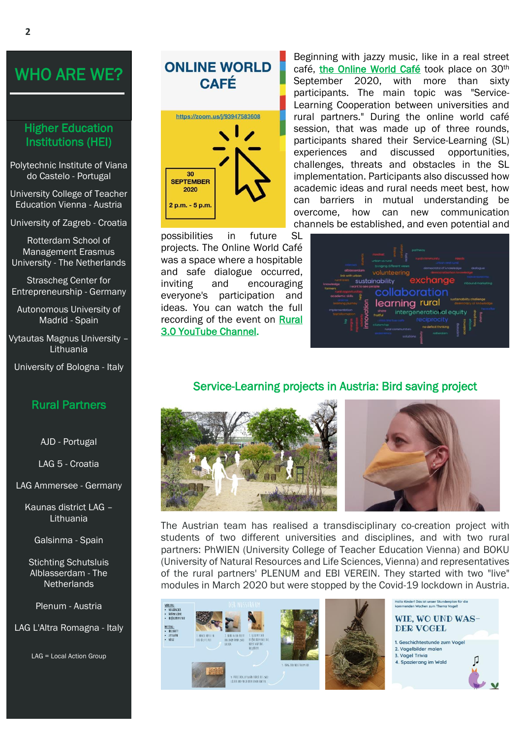# WHO ARE WE?

## Higher Education Institutions (HEI)

Polytechnic Institute of Viana do Castelo - Portugal

University College of Teacher Education Vienna - Austria

University of Zagreb - Croatia

Rotterdam School of Management Erasmus University - The Netherlands

Strascheg Center for Entrepreneurship - Germany

Autonomous University of Madrid - Spain

Vytautas Magnus University – Lithuania

University of Bologna - Italy

### Rural Partners

AJD - Portugal

LAG 5 - Croatia

LAG Ammersee - Germany

Kaunas district LAG – Lithuania

Galsinma - Spain

Stichting Schutsluis Alblasserdam - The **Netherlands** 

Plenum - Austria

LAG L'Altra Romagna - Italy

LAG = Local Action Group

# **ONLINE WORLD CAFÉ** https://zoom.us/j/93947583608 30 **SEPTEMBER** 2020  $2 p.m. - 5 p.m.$

possibilities in future SL projects. The Online World Café was a space where a hospitable and safe dialogue occurred, inviting and encouraging everyone's participation and ideas. You can watch the full recording of the event on [Rural](https://youtu.be/p-zCHw3rlis)  [3.0 YouTube Channel.](https://youtu.be/p-zCHw3rlis)

Beginning with jazzy music, like in a real street café, [the Online World Café](https://rural.ffzg.unizg.hr/wp-content/uploads/2020/07/Methodology_ONLINE-WORLD-CAFE_-FINAL-VERSION.pdf) took place on 30<sup>th</sup> September 2020, with more than sixty participants. The main topic was "Service-Learning Cooperation between universities and rural partners." During the online world café session, that was made up of three rounds, participants shared their Service-Learning (SL) experiences and discussed opportunities, challenges, threats and obstacles in the SL implementation. Participants also discussed how academic ideas and rural needs meet best, how can barriers in mutual understanding be overcome, how can new communication channels be established, and even potential and



# Service-Learning projects in Austria: Bird saving project



The Austrian team has realised a transdisciplinary co-creation project with students of two different universities and disciplines, and with two rural partners: PhWIEN (University College of Teacher Education Vienna) and BOKU (University of Natural Resources and Life Sciences, Vienna) and representatives of the rural partners' PLENUM and EBI VEREIN. They started with two "live" modules in March 2020 but were stopped by the Covid-19 lockdown in Austria.





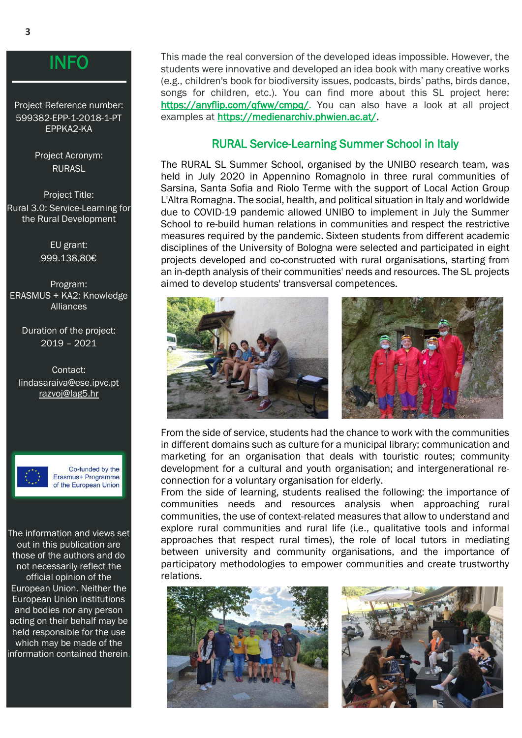# INFO

Project Reference number: 599382-EPP-1-2018-1-PT EPPKA2-KA

> Project Acronym: RURASL

Project Title: Rural 3.0: Service-Learning for the Rural Development

> EU grant: 999.138,80€

Program: ERASMUS + KA2: Knowledge Alliances

> Duration of the project: 2019 – 2021

Contact: lindasaraiva@ese.ipvc.pt [razvoj@lag5.hr](mailto:razvoj@lag5.hr)



Co-funded by the Erasmus+ Programme of the European Union

The information and views set out in this publication are those of the authors and do not necessarily reflect the official opinion of the European Union. Neither the European Union institutions and bodies nor any person acting on their behalf may be held responsible for the use which may be made of the information contained therein.

This made the real conversion of the developed ideas impossible. However, the students were innovative and developed an idea book with many creative works (e.g., children's book for biodiversity issues, podcasts, birds' paths, birds dance, songs for children, etc.). You can find more about this SL project here: [https://anyflip.com/qfww/cmpq/.](https://anyflip.com/qfww/cmpq/) You can also have a look at all project examples at [https://medienarchiv.phwien.ac.at/.](https://medienarchiv.phwien.ac.at/)

# RURAL Service-Learning Summer School in Italy

The RURAL SL Summer School, organised by the UNIBO research team, was held in July 2020 in Appennino Romagnolo in three rural communities of Sarsina, Santa Sofia and Riolo Terme with the support of Local Action Group L'Altra Romagna. The social, health, and political situation in Italy and worldwide due to COVID-19 pandemic allowed UNIBO to implement in July the Summer School to re-build human relations in communities and respect the restrictive measures required by the pandemic. Sixteen students from different academic disciplines of the University of Bologna were selected and participated in eight projects developed and co-constructed with rural organisations, starting from an in-depth analysis of their communities' needs and resources. The SL projects aimed to develop students' transversal competences.



From the side of service, students had the chance to work with the communities in different domains such as culture for a municipal library; communication and marketing for an organisation that deals with touristic routes; community development for a cultural and youth organisation; and intergenerational reconnection for a voluntary organisation for elderly.

From the side of learning, students realised the following: the importance of communities needs and resources analysis when approaching rural communities, the use of context-related measures that allow to understand and explore rural communities and rural life (i.e., qualitative tools and informal approaches that respect rural times), the role of local tutors in mediating between university and community organisations, and the importance of participatory methodologies to empower communities and create trustworthy relations.